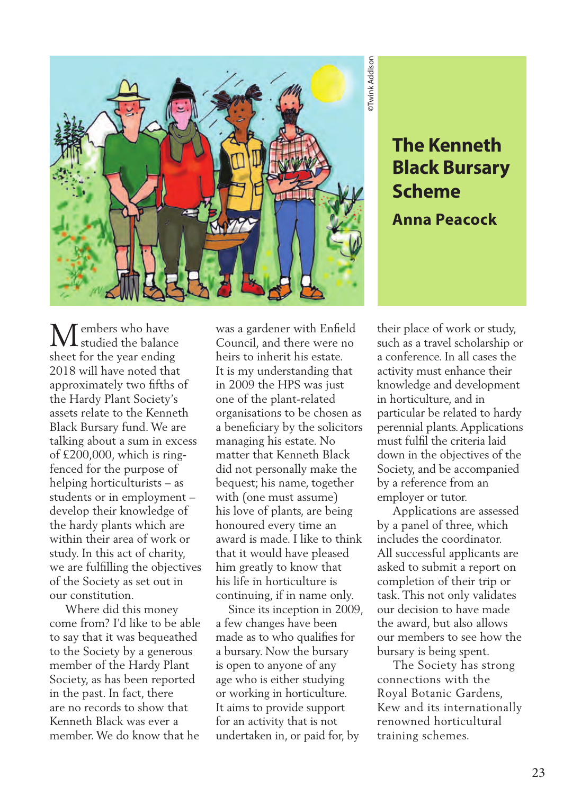

**Black Bursary Scheme Anna Peacock**

embers who have studied the balance sheet for the year ending 2018 will have noted that approximately two fifths of the Hardy Plant Society's assets relate to the Kenneth Black Bursary fund. We are talking about a sum in excess of £200,000, which is ringfenced for the purpose of helping horticulturists – as students or in employment – develop their knowledge of the hardy plants which are within their area of work or study. In this act of charity, we are fulfilling the objectives of the Society as set out in our constitution. M

 Where did this money come from? I'd like to be able to say that it was bequeathed to the Society by a generous member of the Hardy Plant Society, as has been reported in the past. In fact, there are no records to show that Kenneth Black was ever a member. We do know that he

was a gardener with Enfield Council, and there were no heirs to inherit his estate. It is my understanding that in 2009 the HPS was just one of the plant-related organisations to be chosen as a beneficiary by the solicitors managing his estate. No matter that Kenneth Black did not personally make the bequest; his name, together with (one must assume) his love of plants, are being honoured every time an award is made. I like to think that it would have pleased him greatly to know that his life in horticulture is continuing, if in name only.

 Since its inception in 2009, a few changes have been made as to who qualifies for a bursary. Now the bursary is open to anyone of any age who is either studying or working in horticulture. It aims to provide support for an activity that is not undertaken in, or paid for, by

**The Kenneth<br>Black Bursary<br>Scheme**<br>**Scheme**<br>**Anna Peacock**<br>**Anna Peacock**<br>thas a travel scholarship or<br>onference. In all cases the<br>ivity must enhance their<br>ivity must enhance their<br>wheige and development<br>norticulture, and their place of work or study, such as a travel scholarship or a conference. In all cases the activity must enhance their knowledge and development in horticulture, and in particular be related to hardy perennial plants. Applications must fulfil the criteria laid down in the objectives of the Society, and be accompanied by a reference from an employer or tutor.

 Applications are assessed by a panel of three, which includes the coordinator. All successful applicants are asked to submit a report on completion of their trip or task. This not only validates our decision to have made the award, but also allows our members to see how the bursary is being spent.

 The Society has strong connections with the Royal Botanic Gardens, Kew and its internationally renowned horticultural training schemes.